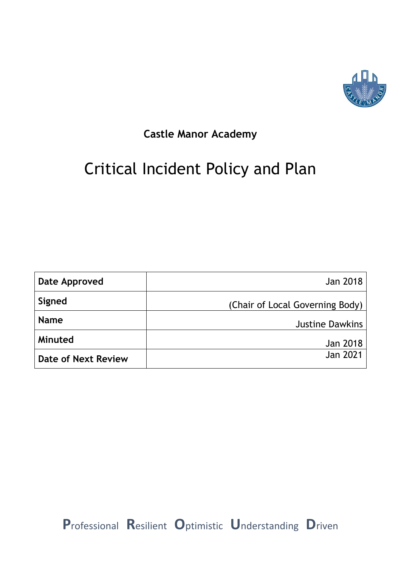

# **Castle Manor Academy**

# Critical Incident Policy and Plan

| Date Approved       | Jan 2018                        |
|---------------------|---------------------------------|
| Signed              | (Chair of Local Governing Body) |
| <b>Name</b>         | <b>Justine Dawkins</b>          |
| Minuted             | Jan 2018                        |
| Date of Next Review | <b>Jan 2021</b>                 |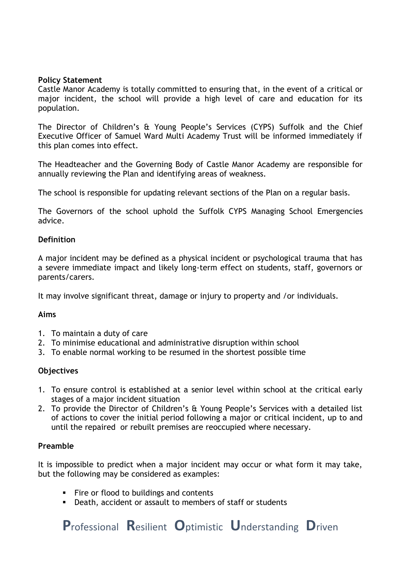#### **Policy Statement**

Castle Manor Academy is totally committed to ensuring that, in the event of a critical or major incident, the school will provide a high level of care and education for its population.

The Director of Children's & Young People's Services (CYPS) Suffolk and the Chief Executive Officer of Samuel Ward Multi Academy Trust will be informed immediately if this plan comes into effect.

The Headteacher and the Governing Body of Castle Manor Academy are responsible for annually reviewing the Plan and identifying areas of weakness.

The school is responsible for updating relevant sections of the Plan on a regular basis.

The Governors of the school uphold the Suffolk CYPS Managing School Emergencies advice.

#### **Definition**

A major incident may be defined as a physical incident or psychological trauma that has a severe immediate impact and likely long-term effect on students, staff, governors or parents/carers.

It may involve significant threat, damage or injury to property and /or individuals.

#### **Aims**

- 1. To maintain a duty of care
- 2. To minimise educational and administrative disruption within school
- 3. To enable normal working to be resumed in the shortest possible time

#### **Objectives**

- 1. To ensure control is established at a senior level within school at the critical early stages of a major incident situation
- 2. To provide the Director of Children's & Young People's Services with a detailed list of actions to cover the initial period following a major or critical incident, up to and until the repaired or rebuilt premises are reoccupied where necessary.

#### **Preamble**

It is impossible to predict when a major incident may occur or what form it may take, but the following may be considered as examples:

- Fire or flood to buildings and contents
- Death, accident or assault to members of staff or students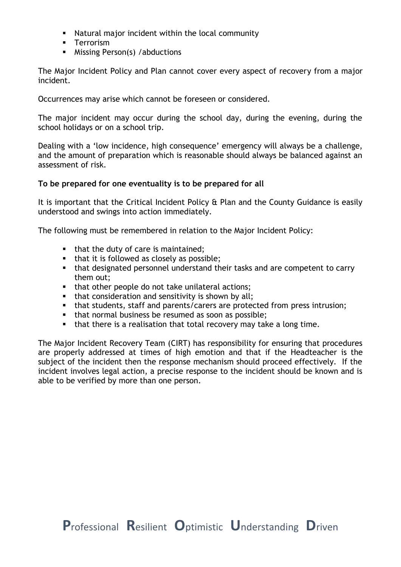- Natural major incident within the local community
- Terrorism
- Missing Person(s) / abductions

The Major Incident Policy and Plan cannot cover every aspect of recovery from a major incident.

Occurrences may arise which cannot be foreseen or considered.

The major incident may occur during the school day, during the evening, during the school holidays or on a school trip.

Dealing with a 'low incidence, high consequence' emergency will always be a challenge, and the amount of preparation which is reasonable should always be balanced against an assessment of risk.

### **To be prepared for one eventuality is to be prepared for all**

It is important that the Critical Incident Policy & Plan and the County Guidance is easily understood and swings into action immediately.

The following must be remembered in relation to the Major Incident Policy:

- that the duty of care is maintained:
- that it is followed as closely as possible;
- that designated personnel understand their tasks and are competent to carry them out;
- that other people do not take unilateral actions;
- that consideration and sensitivity is shown by all;
- that students, staff and parents/carers are protected from press intrusion;
- that normal business be resumed as soon as possible;
- **•** that there is a realisation that total recovery may take a long time.

The Major Incident Recovery Team (CIRT) has responsibility for ensuring that procedures are properly addressed at times of high emotion and that if the Headteacher is the subject of the incident then the response mechanism should proceed effectively. If the incident involves legal action, a precise response to the incident should be known and is able to be verified by more than one person.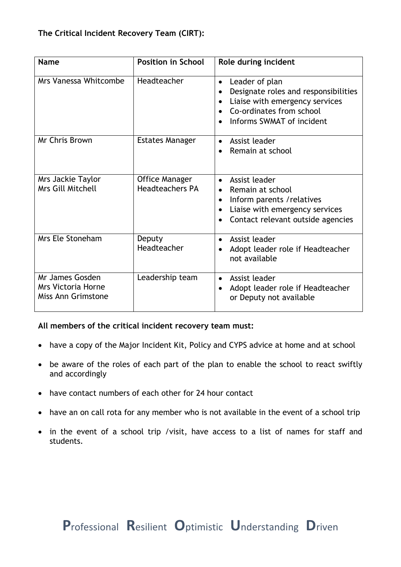# **The Critical Incident Recovery Team (CIRT):**

| <b>Name</b>                                                        | <b>Position in School</b>                       | Role during incident                                                                                                                                                          |
|--------------------------------------------------------------------|-------------------------------------------------|-------------------------------------------------------------------------------------------------------------------------------------------------------------------------------|
| Mrs Vanessa Whitcombe                                              | Headteacher                                     | Leader of plan<br>$\bullet$<br>Designate roles and responsibilities<br>Liaise with emergency services<br>$\bullet$<br>Co-ordinates from school<br>Informs SWMAT of incident   |
| Mr Chris Brown                                                     | <b>Estates Manager</b>                          | Assist leader<br>Remain at school                                                                                                                                             |
| Mrs Jackie Taylor<br><b>Mrs Gill Mitchell</b>                      | <b>Office Manager</b><br><b>Headteachers PA</b> | Assist leader<br>$\bullet$<br>Remain at school<br>$\bullet$<br>Inform parents / relatives<br>$\bullet$<br>Liaise with emergency services<br>Contact relevant outside agencies |
| Mrs Ele Stoneham                                                   | Deputy<br>Headteacher                           | Assist leader<br>Adopt leader role if Headteacher<br>not available                                                                                                            |
| Mr James Gosden<br><b>Mrs Victoria Horne</b><br>Miss Ann Grimstone | Leadership team                                 | Assist leader<br>$\bullet$<br>Adopt leader role if Headteacher<br>or Deputy not available                                                                                     |

#### **All members of the critical incident recovery team must:**

- have a copy of the Major Incident Kit, Policy and CYPS advice at home and at school
- be aware of the roles of each part of the plan to enable the school to react swiftly and accordingly
- have contact numbers of each other for 24 hour contact
- have an on call rota for any member who is not available in the event of a school trip
- in the event of a school trip /visit, have access to a list of names for staff and students.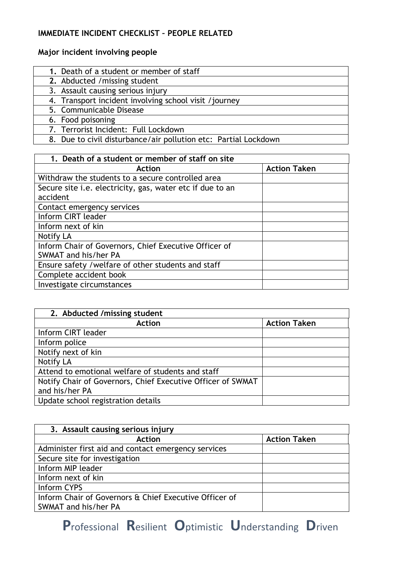# **IMMEDIATE INCIDENT CHECKLIST – PEOPLE RELATED**

# **Major incident involving people**

| 1. Death of a student or member of staff                        |
|-----------------------------------------------------------------|
| 2. Abducted / missing student                                   |
| 3. Assault causing serious injury                               |
| 4. Transport incident involving school visit /journey           |
| 5. Communicable Disease                                         |
| 6. Food poisoning                                               |
| 7. Terrorist Incident: Full Lockdown                            |
| 8. Due to civil disturbance/air pollution etc: Partial Lockdown |

8. Due to civil disturbance/air pollution etc: Partial Lockdown

| 1. Death of a student or member of staff on site                             |                     |  |
|------------------------------------------------------------------------------|---------------------|--|
| <b>Action</b>                                                                | <b>Action Taken</b> |  |
| Withdraw the students to a secure controlled area                            |                     |  |
| Secure site <i>i.e.</i> electricity, gas, water etc if due to an<br>accident |                     |  |
| Contact emergency services                                                   |                     |  |
| Inform CIRT leader                                                           |                     |  |
| Inform next of kin                                                           |                     |  |
| Notify LA                                                                    |                     |  |
| Inform Chair of Governors, Chief Executive Officer of                        |                     |  |
| SWMAT and his/her PA                                                         |                     |  |
| Ensure safety / welfare of other students and staff                          |                     |  |
| Complete accident book                                                       |                     |  |
| Investigate circumstances                                                    |                     |  |

| 2. Abducted / missing student                               |                     |  |
|-------------------------------------------------------------|---------------------|--|
| <b>Action</b>                                               | <b>Action Taken</b> |  |
| Inform CIRT leader                                          |                     |  |
| Inform police                                               |                     |  |
| Notify next of kin                                          |                     |  |
| <b>Notify LA</b>                                            |                     |  |
| Attend to emotional welfare of students and staff           |                     |  |
| Notify Chair of Governors, Chief Executive Officer of SWMAT |                     |  |
| and his/her PA                                              |                     |  |
| Update school registration details                          |                     |  |

| 3. Assault causing serious injury                      |                     |  |
|--------------------------------------------------------|---------------------|--|
| <b>Action</b>                                          | <b>Action Taken</b> |  |
| Administer first aid and contact emergency services    |                     |  |
| Secure site for investigation                          |                     |  |
| Inform MIP leader                                      |                     |  |
| Inform next of kin                                     |                     |  |
| Inform CYPS                                            |                     |  |
| Inform Chair of Governors & Chief Executive Officer of |                     |  |
| SWMAT and his/her PA                                   |                     |  |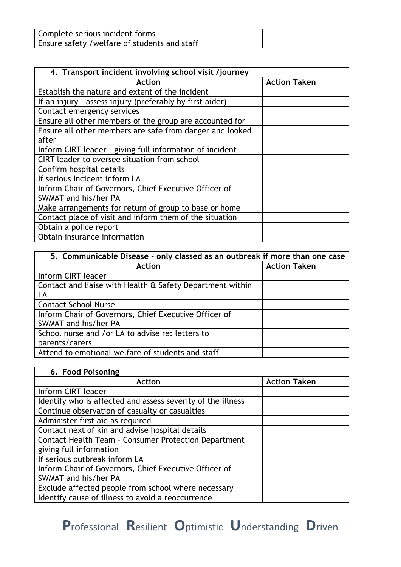| Complete serious incident forms              |  |
|----------------------------------------------|--|
| Ensure safety /welfare of students and staff |  |

| 4. Transport incident involving school visit /journey    |                     |  |
|----------------------------------------------------------|---------------------|--|
| <b>Action</b>                                            | <b>Action Taken</b> |  |
| Establish the nature and extent of the incident          |                     |  |
| If an injury - assess injury (preferably by first aider) |                     |  |
| Contact emergency services                               |                     |  |
| Ensure all other members of the group are accounted for  |                     |  |
| Ensure all other members are safe from danger and looked |                     |  |
| after                                                    |                     |  |
| Inform CIRT leader - giving full information of incident |                     |  |
| CIRT leader to oversee situation from school             |                     |  |
| Confirm hospital details                                 |                     |  |
| If serious incident inform LA                            |                     |  |
| Inform Chair of Governors, Chief Executive Officer of    |                     |  |
| SWMAT and his/her PA                                     |                     |  |
| Make arrangements for return of group to base or home    |                     |  |
| Contact place of visit and inform them of the situation  |                     |  |
| Obtain a police report                                   |                     |  |
| Obtain insurance information                             |                     |  |

| 5. Communicable Disease - only classed as an outbreak if more than one case |                     |
|-----------------------------------------------------------------------------|---------------------|
| <b>Action</b>                                                               | <b>Action Taken</b> |
| Inform CIRT leader                                                          |                     |
| Contact and liaise with Health & Safety Department within                   |                     |
| LA                                                                          |                     |
| <b>Contact School Nurse</b>                                                 |                     |
| Inform Chair of Governors, Chief Executive Officer of                       |                     |
| SWMAT and his/her PA                                                        |                     |
| School nurse and /or LA to advise re: letters to                            |                     |
| parents/carers                                                              |                     |
| Attend to emotional welfare of students and staff                           |                     |

| 6. Food Poisoning                                           |                     |
|-------------------------------------------------------------|---------------------|
| <b>Action</b>                                               | <b>Action Taken</b> |
| Inform CIRT leader                                          |                     |
| Identify who is affected and assess severity of the illness |                     |
| Continue observation of casualty or casualties              |                     |
| Administer first aid as required                            |                     |
| Contact next of kin and advise hospital details             |                     |
| <b>Contact Health Team - Consumer Protection Department</b> |                     |
| giving full information                                     |                     |
| If serious outbreak inform LA                               |                     |
| Inform Chair of Governors, Chief Executive Officer of       |                     |
| SWMAT and his/her PA                                        |                     |
| Exclude affected people from school where necessary         |                     |
| Identify cause of illness to avoid a reoccurrence           |                     |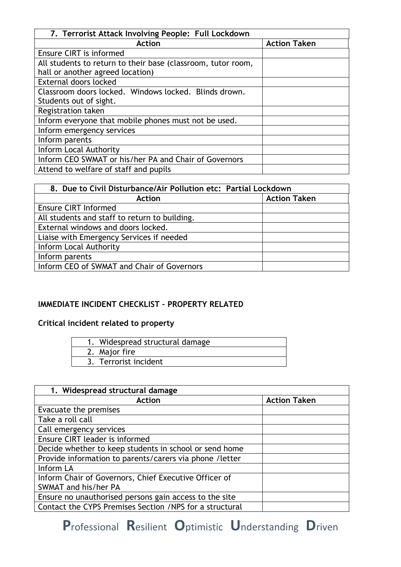| 7. Terrorist Attack Involving People: Full Lockdown          |                     |  |
|--------------------------------------------------------------|---------------------|--|
| Action                                                       | <b>Action Taken</b> |  |
| Ensure CIRT is informed                                      |                     |  |
| All students to return to their base (classroom, tutor room, |                     |  |
| hall or another agreed location)                             |                     |  |
| External doors locked                                        |                     |  |
| Classroom doors locked. Windows locked. Blinds drown.        |                     |  |
| Students out of sight.                                       |                     |  |
| Registration taken                                           |                     |  |
| Inform everyone that mobile phones must not be used.         |                     |  |
| Inform emergency services                                    |                     |  |
| Inform parents                                               |                     |  |
| Inform Local Authority                                       |                     |  |
| Inform CEO SWMAT or his/her PA and Chair of Governors        |                     |  |
| Attend to welfare of staff and pupils                        |                     |  |

| 8. Due to Civil Disturbance/Air Pollution etc: Partial Lockdown |                     |  |
|-----------------------------------------------------------------|---------------------|--|
| <b>Action</b>                                                   | <b>Action Taken</b> |  |
| <b>Ensure CIRT Informed</b>                                     |                     |  |
| All students and staff to return to building.                   |                     |  |
| External windows and doors locked.                              |                     |  |
| Liaise with Emergency Services if needed                        |                     |  |
| Inform Local Authority                                          |                     |  |
| Inform parents                                                  |                     |  |
| Inform CEO of SWMAT and Chair of Governors                      |                     |  |

# **IMMEDIATE INCIDENT CHECKLIST – PROPERTY RELATED**

# **Critical incident related to property**

| 1. Widespread structural damage |
|---------------------------------|
| 2. Major fire                   |
| 3. Terrorist incident           |

| 1. Widespread structural damage                          |                     |  |  |
|----------------------------------------------------------|---------------------|--|--|
| <b>Action</b>                                            | <b>Action Taken</b> |  |  |
| Evacuate the premises                                    |                     |  |  |
| Take a roll call                                         |                     |  |  |
| Call emergency services                                  |                     |  |  |
| Ensure CIRT leader is informed                           |                     |  |  |
| Decide whether to keep students in school or send home   |                     |  |  |
| Provide information to parents/carers via phone /letter  |                     |  |  |
| Inform LA                                                |                     |  |  |
| Inform Chair of Governors, Chief Executive Officer of    |                     |  |  |
| SWMAT and his/her PA                                     |                     |  |  |
| Ensure no unauthorised persons gain access to the site   |                     |  |  |
| Contact the CYPS Premises Section / NPS for a structural |                     |  |  |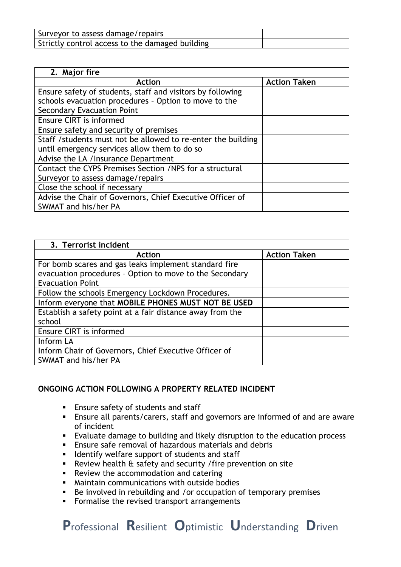| Surveyor to assess damage/repairs               |  |
|-------------------------------------------------|--|
| Strictly control access to the damaged building |  |

| 2. Major fire                                                |                     |  |  |
|--------------------------------------------------------------|---------------------|--|--|
| <b>Action</b>                                                | <b>Action Taken</b> |  |  |
| Ensure safety of students, staff and visitors by following   |                     |  |  |
| schools evacuation procedures - Option to move to the        |                     |  |  |
| <b>Secondary Evacuation Point</b>                            |                     |  |  |
| Ensure CIRT is informed                                      |                     |  |  |
| Ensure safety and security of premises                       |                     |  |  |
| Staff /students must not be allowed to re-enter the building |                     |  |  |
| until emergency services allow them to do so                 |                     |  |  |
| Advise the LA / Insurance Department                         |                     |  |  |
| Contact the CYPS Premises Section /NPS for a structural      |                     |  |  |
| Surveyor to assess damage/repairs                            |                     |  |  |
| Close the school if necessary                                |                     |  |  |
| Advise the Chair of Governors, Chief Executive Officer of    |                     |  |  |
| SWMAT and his/her PA                                         |                     |  |  |

| 3. Terrorist incident                                     |                     |
|-----------------------------------------------------------|---------------------|
| <b>Action</b>                                             | <b>Action Taken</b> |
| For bomb scares and gas leaks implement standard fire     |                     |
| evacuation procedures - Option to move to the Secondary   |                     |
| <b>Evacuation Point</b>                                   |                     |
| Follow the schools Emergency Lockdown Procedures.         |                     |
| Inform everyone that MOBILE PHONES MUST NOT BE USED       |                     |
| Establish a safety point at a fair distance away from the |                     |
| school                                                    |                     |
| Ensure CIRT is informed                                   |                     |
| Inform LA                                                 |                     |
| Inform Chair of Governors, Chief Executive Officer of     |                     |
| SWMAT and his/her PA                                      |                     |

## **ONGOING ACTION FOLLOWING A PROPERTY RELATED INCIDENT**

- Ensure safety of students and staff
- Ensure all parents/carers, staff and governors are informed of and are aware of incident
- Evaluate damage to building and likely disruption to the education process
- **Ensure safe removal of hazardous materials and debris**
- **EXEC** Identify welfare support of students and staff
- Review health & safety and security / fire prevention on site
- Review the accommodation and catering
- Maintain communications with outside bodies
- Be involved in rebuilding and /or occupation of temporary premises
- Formalise the revised transport arrangements